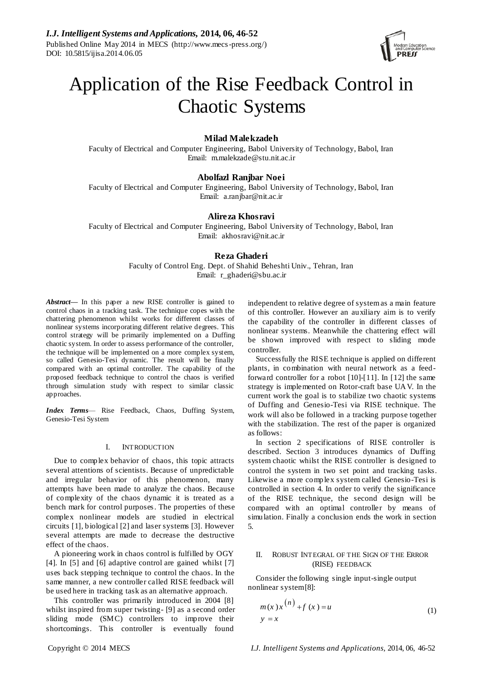

# Application of the Rise Feedback Control in Chaotic Systems

## **Milad Malekzadeh**

Faculty of Electrical and Computer Engineering, Babol University of Technology, Babol, Iran Email: m.malekzade@stu.nit.ac.ir

## **Abolfazl Ranjbar Noei**

Faculty of Electrical and Computer Engineering, Babol University of Technology, Babol, Iran Email: a.ranjbar@nit.ac.ir

## **Alireza Khosravi**

Faculty of Electrical and Computer Engineering, Babol University of Technology, Babol, Iran Email: akhosravi@nit.ac.ir

## **Reza Ghaderi**

Faculty of Control Eng. Dept. of Shahid Beheshti Univ., Tehran, Iran Email: r\_ghaderi@sbu.ac.ir

*Abstract***—** In this paper a new RISE controller is gained to control chaos in a tracking task. The technique copes with the chattering phenomenon whilst works for different classes of nonlinear systems incorporating different relative degrees. This control strategy will be primarily implemented on a Duffing chaotic system. In order to assess performance of the controller, the technique will be implemented on a more complex system, so called Genesio-Tesi dynamic. The result will be finally compared with an optimal controller. The capability of the proposed feedback technique to control the chaos is verified through simulation study with respect to similar classic approaches.

*Index Terms*— Rise Feedback, Chaos, Duffing System, Genesio-Tesi System

#### I. INTRODUCTION

Due to complex behavior of chaos, this topic attracts several attentions of scientists. Because of unpredictable and irregular behavior of this phenomenon, many attempts have been made to analyze the chaos. Because of complexity of the chaos dynamic it is treated as a bench mark for control purposes. The properties of these complex nonlinear models are studied in electrical circuits [1], biological [2] and laser systems [3]. However several attempts are made to decrease the destructive effect of the chaos.

A pioneering work in chaos control is fulfilled by OGY [4]. In [5] and [6] adaptive control are gained whilst [7] uses back stepping technique to control the chaos. In the same manner, a new controller called RISE feedback will be used here in tracking task as an alternative approach.

This controller was primarily introduced in 2004 [8] whilst inspired from super twisting- [9] as a second order sliding mode (SMC) controllers to improve their shortcomings. This controller is eventually found

independent to relative degree of system as a main feature of this controller. However an auxiliary aim is to verify the capability of the controller in different classes of nonlinear systems. Meanwhile the chattering effect will be shown improved with respect to sliding mode controller.

Successfully the RISE technique is applied on different plants, in combination with neural network as a feedforward controller for a robot [10]-[11]. In [12] the same strategy is implemented on Rotor-craft base UAV. In the current work the goal is to stabilize two chaotic systems of Duffing and Genesio-Tesi via RISE technique. The work will also be followed in a tracking purpose together with the stabilization. The rest of the paper is organized as follows:

In section 2 specifications of RISE controller is described. Section 3 introduces dynamics of Duffing system chaotic whilst the RISE controller is designed to control the system in two set point and tracking tasks. Likewise a more complex system called Genesio-Tesi is controlled in section 4. In order to verify the significance of the RISE technique, the second design will be compared with an optimal controller by means of simulation. Finally a conclusion ends the work in section 5.

## II. ROBUST INTEGRAL OF THE SIGN OF THE ERROR (RISE) FEEDBACK

Consider the following single input-single output nonlinear system [8]:

$$
m(x)x^{(n)} + f(x) = u
$$
  
\n
$$
y = x
$$
\n(1)

Copyright © 2014 MECS *I.J. Intelligent Systems and Applications,* 2014, 06, 46-52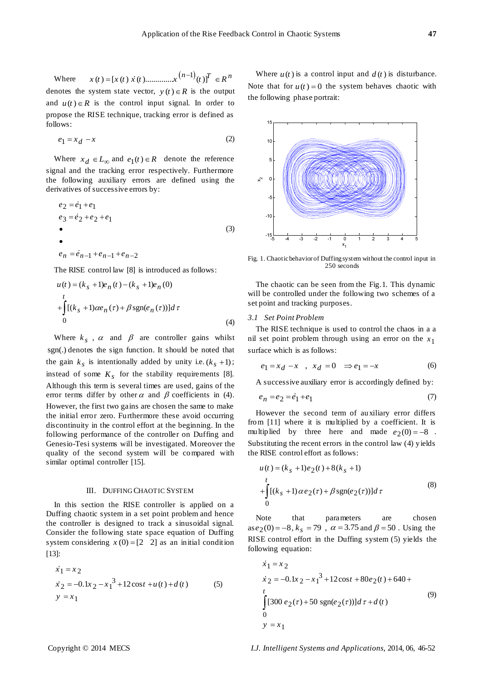Where  $(n-1)$  $(x ( t ) = [x ( t ) x ( t ) ... ... ... x ( n - 1 ) ( t ) ]^{T} \in R^{n}$ denotes the system state vector,  $y(t) \in R$  is the output and  $u(t) \in R$  is the control input signal. In order to propose the RISE technique, tracking error is defined as follows:

$$
e_1 = x_d - x \tag{2}
$$

Where  $x_d \in L_\infty$  and  $e_1(t) \in R$  denote the reference signal and the tracking error respectively. Furthermore the following auxiliary errors are defined using the derivatives of successive errors by:

$$
e_2 = \dot{e}_1 + e_1
$$
  
\n
$$
e_3 = \dot{e}_2 + e_2 + e_1
$$
  
\n•  
\n•  
\n
$$
e_n = \dot{e}_{n-1} + e_{n-1} + e_{n-2}
$$
  
\n(3)

The RISE control law [8] is introduced as follows:

$$
u(t) = (k_s + 1)e_n(t) - (k_s + 1)e_n(0)
$$
  
+ 
$$
\int_{0}^{t} [(k_s + 1)\alpha e_n(\tau) + \beta \text{sgn}(e_n(\tau))]d\tau
$$
  
(4)

Where  $k_s$ ,  $\alpha$  and  $\beta$  are controller gains whilst sgn(.) denotes the sign function. It should be noted that the gain  $k_s$  is intentionally added by unity i.e.  $(k_s + 1)$ ; instead of some  $K<sub>s</sub>$  for the stability requirements [8]. Although this term is several times are used, gains of the error terms differ by other  $\alpha$  and  $\beta$  coefficients in (4). However, the first two gains are chosen the same to make the initial error zero. Furthermore these avoid occurring discontinuity in the control effort at the beginning. In the following performance of the controller on Duffing and Genesio-Tesi systems will be investigated. Moreover the quality of the second system will be compared with similar optimal controller [15].

#### III. DUFFING CHAOTIC SYSTEM

In this section the RISE controller is applied on a Duffing chaotic system in a set point problem and hence the controller is designed to track a sinusoidal signal. Consider the following state space equation of Duffing system considering  $x(0) = [2 \ 2]$  as an initial condition [13]:

$$
\begin{aligned}\n\dot{x}_1 &= x_2\\ \n\dot{x}_2 &= -0.1x_2 - x_1^3 + 12\cos t + u(t) + d(t) \n\end{aligned}
$$
\n(5)

Where  $u(t)$  is a control input and  $d(t)$  is disturbance. Note that for  $u(t) = 0$  the system behaves chaotic with the following phase portrait:



Fig. 1. Chaotic behavior of Duffing system without the control input in 250 seconds

The chaotic can be seen from the Fig.1. This dynamic will be controlled under the following two schemes of a set point and tracking purposes.

## *3.1 Set Point Problem*

The RISE technique is used to control the chaos in a a nil set point problem through using an error on the  $x_1$ surface which is as follows:

$$
e_1 = x_d - x \quad , \quad x_d = 0 \quad \Rightarrow e_1 = -x \tag{6}
$$

A successive auxiliary error is accordingly defined by:

$$
e_n = e_2 = \dot{e}_1 + e_1 \tag{7}
$$

However the second term of auxiliary error differs from [11] where it is multiplied by a coefficient. It is multiplied by three here and made  $e_2(0) = -8$ . Substituting the recent errors in the control law (4) yields the RISE control effort as follows:

$$
u(t) = (k_s + 1)e_2(t) + 8(k_s + 1)
$$
  
+ 
$$
\int_{0}^{t} [(k_s + 1)\alpha e_2(\tau) + \beta \text{sgn}(e_2(\tau))]d\tau
$$
 (8)

Note that parameters are chosen  $\cos e_2(0) = -8$ ,  $k_s = 79$ ,  $\alpha = 3.75$  and  $\beta = 50$ . Using the RISE control effort in the Duffing system (5) yields the

following equation:  
\n
$$
\dot{x}_1 = x_2
$$
\n
$$
\dot{x}_2 = -0.1x_2 - x_1^3 + 12\cos t + 80e_2(t) + 640 +
$$
\n
$$
\int_{0}^{t} [300 e_2(\tau) + 50 \text{ sgn}(e_2(\tau))] d\tau + d(t)
$$
\n(9)  
\n
$$
y = x_1
$$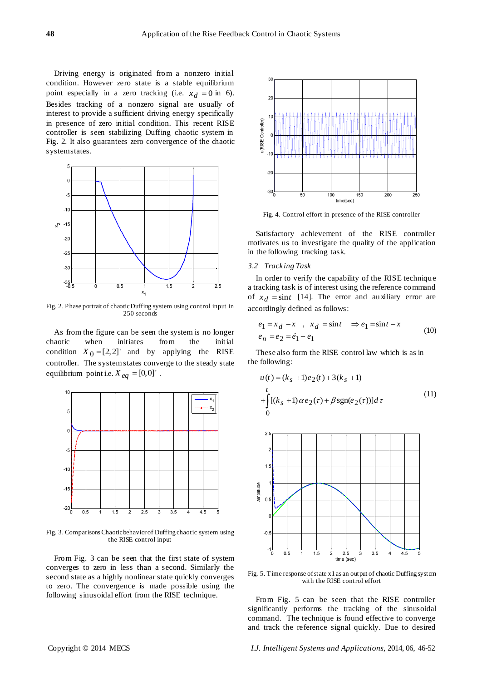Driving energy is originated from a nonzero initial condition. However zero state is a stable equilibrium point especially in a zero tracking (i.e.  $x_d = 0$  in 6). Besides tracking of a nonzero signal are usually of interest to provide a sufficient driving energy specifically in presence of zero initial condition. This recent RISE controller is seen stabilizing Duffing chaotic system in Fig. 2. It also guarantees zero convergence of the chaotic system states.



Fig. 2. Phase portrait of chaotic Duffing system using control input in 250 seconds

As from the figure can be seen the system is no longer chaotic when initiates from the initial condition  $X_0 = [2,2]$  and by applying the RISE controller. The system states converge to the steady state equilibrium point i.e.  $X_{eq} = [0,0]$ '.



Fig. 3. Comparisons Chaotic behavior of Duffing chaotic system using the RISE control input

From Fig. 3 can be seen that the first state of system converges to zero in less than a second. Similarly the second state as a highly nonlinear state quickly converges to zero. The convergence is made possible using the following sinusoidal effort from the RISE technique.



Fig. 4. Control effort in presence of the RISE controller

Satisfactory achievement of the RISE controller motivates us to investigate the quality of the application in the following tracking task.

#### *3.2 Tracking Task*

In order to verify the capability of the RISE technique a tracking task is of interest using the reference command of  $x_d = \sin t$  [14]. The error and auxiliary error are accordingly defined as follows:

$$
e_1 = x_d - x \quad , \quad x_d = \sin t \quad \Rightarrow e_1 = \sin t - x
$$
  
\n
$$
e_n = e_2 = \dot{e}_1 + e_1
$$
 (10)

These also form the RISE control law which is as in the following:

$$
u(t) = (k_s + 1)e_2(t) + 3(k_s + 1)
$$
  
+ 
$$
\int_{0}^{t} [(k_s + 1)\alpha e_2(\tau) + \beta \text{sgn}(e_2(\tau))]d\tau
$$
 (11)



Fig. 5. Time response of state x1 as an output of chaotic Duffing system with the RISE control effort

From Fig. 5 can be seen that the RISE controller significantly performs the tracking of the sinusoidal command. The technique is found effective to converge and track the reference signal quickly. Due to desired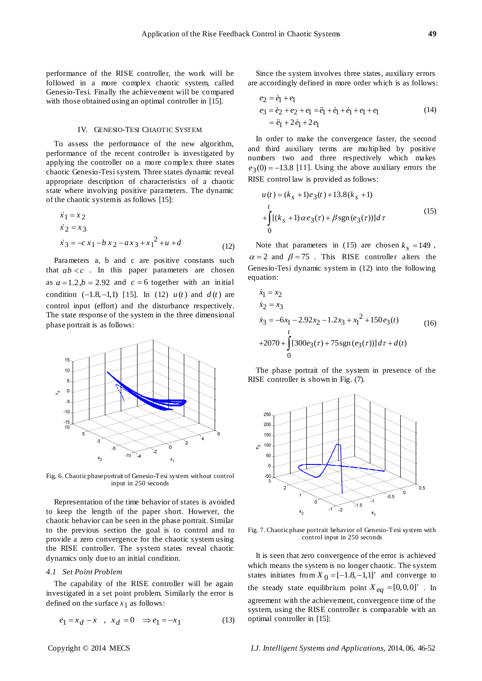performance of the RISE controller, the work will be followed in a more complex chaotic system, called Genesio-Tesi. Finally the achievement will be compared with those obtained using an optimal controller in [15].

### IV. GENESIO-TESI CHAOTIC SYSTEM

To assess the performance of the new algorithm, performance of the recent controller is investigated by applying the controller on a more complex three states chaotic Genesio-Tesi system. Three states dynamic reveal appropriate description of characteristics of a chaotic state where involving positive parameters. The dynamic of the chaotic system is as follows [15]:

$$
\begin{aligned}\n\dot{x}_1 &= x_2\\ \n\dot{x}_2 &= x_3\\ \n\dot{x}_3 &= -cx_1 - bx_2 - ax_3 + x_1^2 + u + d\n\end{aligned}
$$
\n(12)

Parameters a, b and c are positive constants such that  $ab < c$ . In this paper parameters are chosen as  $a = 1.2$ ,  $b = 2.92$  and  $c = 6$  together with an initial condition  $(-1.8, -1, 1)$  [15]. In (12)  $u(t)$  and  $d(t)$  are control input (effort) and the disturbance respectively. The state response of the system in the three dimensional phase portrait is as follows:



Fig. 6. Chaotic phase portrait of Genesio-Tesi system without control input in 250 seconds

Representation of the time behavior of states is avoided to keep the length of the paper short. However, the chaotic behavior can be seen in the phase portrait. Similar to the previous section the goal is to control and to provide a zero convergence for the chaotic system using the RISE controller. The system states reveal chaotic dynamics only due to an initial condition.

#### *4.1 Set Point Problem*

The capability of the RISE controller will be again investigated in a set point problem. Similarly the error is defined on the surface  $x_1$  as follows:

$$
e_1 = x_d - x
$$
,  $x_d = 0 \implies e_1 = -x_1$  (13)

Since the system involves three states, auxiliary errors

are accordingly defined in more order which is as follows:  
\n
$$
e_2 = \dot{e}_1 + e_1
$$
\n
$$
e_3 = \dot{e}_2 + e_2 + e_1 = \ddot{e}_1 + \dot{e}_1 + \dot{e}_1 + e_1 + e_1 \qquad (14)
$$
\n
$$
= \ddot{e}_1 + 2\dot{e}_1 + 2e_1
$$

In order to make the convergence faster, the second and third auxiliary terms are multiplied by positive numbers two and three respectively which makes  $e_3(0) = -13.8$  [11]. Using the above auxiliary errors the RISE control law is provided as follows:

$$
u(t) = (k_s + 1)e_3(t) + 13.8(k_s + 1)
$$
  
+ 
$$
\int_{0}^{t} [(k_s + 1)\alpha e_3(\tau) + \beta \operatorname{sgn}(e_3(\tau))]d\tau
$$
 (15)

Note that parameters in (15) are chosen  $k_s = 149$ ,  $\alpha = 2$  and  $\beta = 75$ . This RISE controller alters the Genesio-Tesi dynamic system in (12) into the following equation:<br> $\dot{x}_1 = x$ 

$$
\dot{x}_1 = x_2
$$
\n
$$
\dot{x}_2 = x_3
$$
\n
$$
\dot{x}_3 = -6x_1 - 2.92x_2 - 1.2x_3 + x_1^2 + 150e_3(t)
$$
\n
$$
+2070 + \int_0^t [300e_3(\tau) + 75\operatorname{sgn}(e_3(\tau))]d\tau + d(t)
$$
\n(16)

The phase portrait of the system in presence of the RISE controller is shown in Fig. (7).



Fig. 7. Chaotic phase portrait behavior of Genesio-Tesi system with control input in 250 seconds

It is seen that zero convergence of the error is achieved which means the system is no longer chaotic. The system states initiates from  $X_0 = [-1.8, -1.1]$  and converge to the steady state equilibrium point  $X_{eq} = [0,0,0]$ '. In agreement with the achievement, convergence time of the system, using the RISE controller is comparable with an optimal controller in [15]: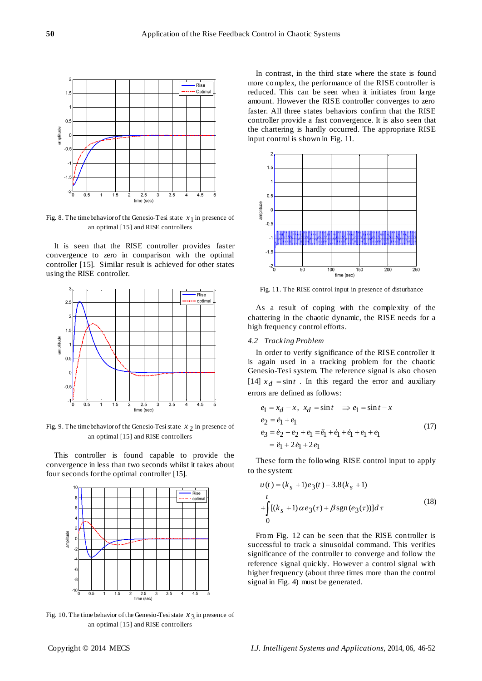

Fig. 8. The time behavior of the Genesio-Tesi state  $x_1$  in presence of an optimal [15] and RISE controllers

It is seen that the RISE controller provides faster convergence to zero in comparison with the optimal controller [15]. Similar result is achieved for other states using the RISE controller.



Fig. 9. The time behavior of the Genesio-Tesi state  $x_2$  in presence of an optimal [15] and RISE controllers

This controller is found capable to provide the convergence in less than two seconds whilst it takes about four seconds for the optimal controller [15].



Fig. 10. The time behavior of the Genesio-Tesi state  $x_3$  in presence of an optimal [15] and RISE controllers

In contrast, in the third state where the state is found more complex, the performance of the RISE controller is reduced. This can be seen when it initiates from large amount. However the RISE controller converges to zero faster. All three states behaviors confirm that the RISE controller provide a fast convergence. It is also seen that the chartering is hardly occurred. The appropriate RISE input control is shown in Fig. 11.



Fig. 11. The RISE control input in presence of disturbance

As a result of coping with the complexity of the chattering in the chaotic dynamic, the RISE needs for a high frequency control efforts.

## *4.2 Tracking Problem*

In order to verify significance of the RISE controller it is again used in a tracking problem for the chaotic Genesio-Tesi system. The reference signal is also chosen [14]  $x_d = \sin t$ . In this regard the error and auxiliary errors are defined as follows:

$$
e_1 = x_d - x, \ x_d = \sin t \implies e_1 = \sin t - x
$$
  
\n
$$
e_2 = \dot{e}_1 + e_1
$$
  
\n
$$
e_3 = \dot{e}_2 + e_2 + e_1 = \ddot{e}_1 + \dot{e}_1 + \dot{e}_1 + e_1 + e_1
$$
  
\n
$$
= \ddot{e}_1 + 2\dot{e}_1 + 2e_1
$$
\n(17)

These form the following RISE control input to apply to the system:

$$
u(t) = (k_s + 1)e_3(t) - 3.8(k_s + 1)
$$
  
+ 
$$
\int_{0}^{t} [(k_s + 1)\alpha e_3(\tau) + \beta \operatorname{sgn}(e_3(\tau))]d\tau
$$
 (18)

From Fig. 12 can be seen that the RISE controller is successful to track a sinusoidal command. This verifies significance of the controller to converge and follow the reference signal quickly. However a control signal with higher frequency (about three times more than the control signal in Fig. 4) must be generated.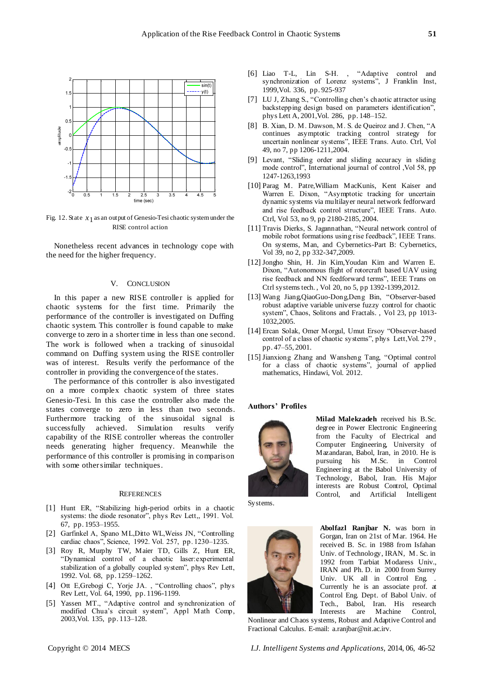

Fig. 12. State  $x_1$  as an output of Genesio-Tesi chaotic system under the RISE control action

Nonetheless recent advances in technology cope with the need for the higher frequency.

#### V. CONCLUSION

In this paper a new RISE controller is applied for chaotic systems for the first time. Primarily the performance of the controller is investigated on Duffing chaotic system. This controller is found capable to make converge to zero in a shorter time in less than one second. The work is followed when a tracking of sinusoidal command on Duffing system using the RISE controller was of interest. Results verify the performance of the controller in providing the convergence of the states.

The performance of this controller is also investigated on a more complex chaotic system of three states Genesio-Tesi. In this case the controller also made the states converge to zero in less than two seconds. Furthermore tracking of the sinusoidal signal is successfully achieved. Simulation results verify capability of the RISE controller whereas the controller needs generating higher frequency. Meanwhile the performance of this controller is promising in comparison with some other similar techniques.

#### **REFERENCES**

- [1] Hunt ER, "Stabilizing high-period orbits in a chaotic systems: the diode resonator", phys Rev Lett,, 1991. Vol. 67, pp. 1953–1955.
- [2] Garfinkel A, Spano ML,Ditto WL,Weiss JN, "Controlling cardiac chaos", Science, 1992. Vol. 257, pp. 1230-1235.
- [3] Roy R, Murphy TW, Maier TD, Gills Z, Hunt ER, ―Dynamical control of a chaotic laser:experimental stabilization of a globally coupled system", phys Rev Lett, 1992. Vol. 68, pp. 1259–1262.
- [4] Ott E,Grebogi C, Yorje JA., "Controlling chaos", phys Rev Lett, Vol. 64, 1990, pp. 1196-1199.
- [5] Yassen MT., "Adaptive control and synchronization of modified Chua's circuit system", Appl Math Comp, 2003,Vol. 135, pp. 113–128.
- [6] Liao T-L, Lin S-H., "Adaptive control and synchronization of Lorenz systems", J Franklin Inst, 1999,Vol. 336, pp. 925-937
- [7] LU J, Zhang S., "Controlling chen's chaotic attractor using backstepping design based on parameters identification", phys Lett A, 2001,Vol. 286, pp. 148–152.
- [8] B. Xian, D. M. Dawson, M. S. de Queiroz and J. Chen, "A continues asymptotic tracking control strategy for uncertain nonlinear systems", IEEE Trans. Auto. Ctrl, Vol 49, no 7, pp 1206-1211,2004.
- [9] Levant, "Sliding order and sliding accuracy in sliding mode control", International journal of control ,Vol 58, pp 1247-1263,1993
- [10] Parag M. Patre,William MacKunis, Kent Kaiser and Warren E. Dixon, "Asymptotic tracking for uncertain dynamic systems via multilayer neural network fedforward and rise feedback control structure", IEEE Trans. Auto. Ctrl, Vol 53, no 9, pp 2180-2185, 2004.
- [11] Travis Dierks, S. Jagannathan, "Neural network control of mobile robot formations using rise feedback‖, IEEE Trans. On systems, Man, and Cybernetics-Part B: Cybernetics, Vol 39, no 2, pp 332-347,2009.
- [12] Jongho Shin, H. Jin Kim,Youdan Kim and Warren E. Dixon, "Autonomous flight of rotorcraft based UAV using rise feedback and NN feedforward terms", IEEE Trans on Ctrl systems tech. , Vol 20, no 5, pp 1392-1399,2012.
- [13] Wang Jiang,QiaoGuo-Dong,Deng Bin, "Observer-based robust adaptive variable universe fuzzy control for chaotic system", Chaos, Solitons and Fractals., Vol 23, pp 1013-1032,2005.
- [14] Ercan Solak, Omer Morgul, Umut Ersoy "Observer-based control of a class of chaotic systems", phys Lett, Vol. 279, pp. 47–55, 2001.
- [15] Jianxiong Zhang and Wansheng Tang, "Optimal control for a class of chaotic systems", journal of applied mathematics, Hindawi, Vol. 2012.

#### **Authors' Profiles**



**Milad Malekzadeh** received his B.Sc. degree in Power Electronic Engineering from the Faculty of Electrical and Computer Engineering, University of Mazandaran, Babol, Iran, in 2010. He is pursuing his M.Sc. in Control Engineering at the Babol University of Technology, Babol, Iran. His Major interests are Robust Control, Optimal Control, and Artificial Intelligent

Systems.



**Abolfazl Ranjbar N.** was born in Gorgan, Iran on 21st of Mar. 1964. He received B. Sc. in 1988 from Isfahan Univ. of Technology, IRAN, M. Sc. in 1992 from Tarbiat Modaress Univ., IRAN and Ph. D. in 2000 from Surrey Univ. UK all in Control Eng. . Currently he is an associate prof. at Control Eng. Dept. of Babol Univ. of Tech., Babol, Iran. His research Interests are Machine Control,

Nonlinear and Chaos systems, Robust and Adaptive Control and Fractional Calculus. E-mail: a.ranjbar@nit.ac.irv.